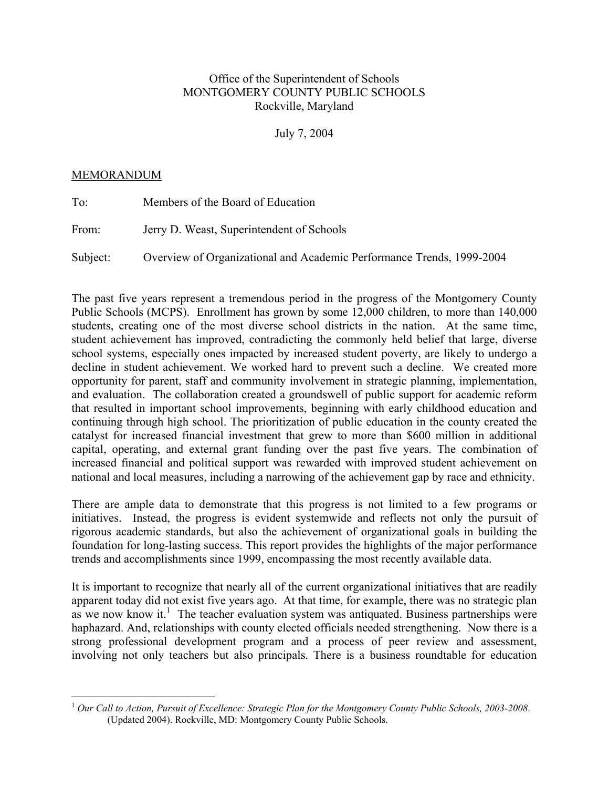# Office of the Superintendent of Schools MONTGOMERY COUNTY PUBLIC SCHOOLS Rockville, Maryland

July 7, 2004

## MEMORANDUM

 $\overline{a}$ 

| To:      | Members of the Board of Education                                     |
|----------|-----------------------------------------------------------------------|
| From:    | Jerry D. Weast, Superintendent of Schools                             |
| Subject: | Overview of Organizational and Academic Performance Trends, 1999-2004 |

The past five years represent a tremendous period in the progress of the Montgomery County Public Schools (MCPS). Enrollment has grown by some 12,000 children, to more than 140,000 students, creating one of the most diverse school districts in the nation. At the same time, student achievement has improved, contradicting the commonly held belief that large, diverse school systems, especially ones impacted by increased student poverty, are likely to undergo a decline in student achievement. We worked hard to prevent such a decline. We created more opportunity for parent, staff and community involvement in strategic planning, implementation, and evaluation. The collaboration created a groundswell of public support for academic reform that resulted in important school improvements, beginning with early childhood education and continuing through high school. The prioritization of public education in the county created the catalyst for increased financial investment that grew to more than \$600 million in additional capital, operating, and external grant funding over the past five years. The combination of increased financial and political support was rewarded with improved student achievement on national and local measures, including a narrowing of the achievement gap by race and ethnicity.

There are ample data to demonstrate that this progress is not limited to a few programs or initiatives. Instead, the progress is evident systemwide and reflects not only the pursuit of rigorous academic standards, but also the achievement of organizational goals in building the foundation for long-lasting success. This report provides the highlights of the major performance trends and accomplishments since 1999, encompassing the most recently available data.

It is important to recognize that nearly all of the current organizational initiatives that are readily apparent today did not exist five years ago. At that time, for example, there was no strategic plan as we now know it.<sup>1</sup> The teacher evaluation system was antiquated. Business partnerships were haphazard. And, relationships with county elected officials needed strengthening. Now there is a strong professional development program and a process of peer review and assessment, involving not only teachers but also principals. There is a business roundtable for education

<sup>1</sup> *Our Call to Action, Pursuit of Excellence: Strategic Plan for the Montgomery County Public Schools, 2003-2008*. (Updated 2004). Rockville, MD: Montgomery County Public Schools.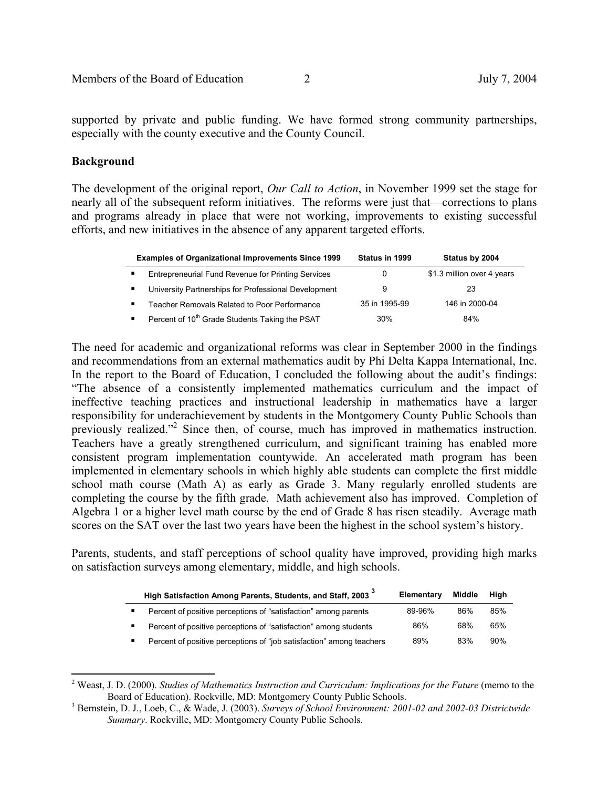supported by private and public funding. We have formed strong community partnerships, especially with the county executive and the County Council.

## **Background**

 $\overline{a}$ 

The development of the original report, *Our Call to Action*, in November 1999 set the stage for nearly all of the subsequent reform initiatives. The reforms were just that—corrections to plans and programs already in place that were not working, improvements to existing successful efforts, and new initiatives in the absence of any apparent targeted efforts.

| <b>Examples of Organizational Improvements Since 1999</b>  | Status in 1999 | Status by 2004             |
|------------------------------------------------------------|----------------|----------------------------|
| Entrepreneurial Fund Revenue for Printing Services         | 0              | \$1.3 million over 4 years |
| University Partnerships for Professional Development       | 9              | 23                         |
| Teacher Removals Related to Poor Performance               | 35 in 1995-99  | 146 in 2000-04             |
| Percent of 10 <sup>th</sup> Grade Students Taking the PSAT | $30\%$         | 84%                        |

The need for academic and organizational reforms was clear in September 2000 in the findings and recommendations from an external mathematics audit by Phi Delta Kappa International, Inc. In the report to the Board of Education, I concluded the following about the audit's findings: "The absence of a consistently implemented mathematics curriculum and the impact of ineffective teaching practices and instructional leadership in mathematics have a larger responsibility for underachievement by students in the Montgomery County Public Schools than previously realized."<sup>2</sup> Since then, of course, much has improved in mathematics instruction. Teachers have a greatly strengthened curriculum, and significant training has enabled more consistent program implementation countywide. An accelerated math program has been implemented in elementary schools in which highly able students can complete the first middle school math course (Math A) as early as Grade 3. Many regularly enrolled students are completing the course by the fifth grade. Math achievement also has improved. Completion of Algebra 1 or a higher level math course by the end of Grade 8 has risen steadily. Average math scores on the SAT over the last two years have been the highest in the school system's history.

Parents, students, and staff perceptions of school quality have improved, providing high marks on satisfaction surveys among elementary, middle, and high schools.

| High Satisfaction Among Parents, Students, and Staff, 2003 <sup>3</sup> | Elementary | Middle | Hiah |
|-------------------------------------------------------------------------|------------|--------|------|
| Percent of positive perceptions of "satisfaction" among parents         | 89-96%     | 86%    | 85%  |
| Percent of positive perceptions of "satisfaction" among students        | 86%        | 68%    | 65%  |
| Percent of positive perceptions of "job satisfaction" among teachers    | 89%        | 83%    | 90%  |

 $2$  Weast, J. D. (2000). *Studies of Mathematics Instruction and Curriculum: Implications for the Future* (memo to the Board of Education). Rockville, MD: Montgomery County Public Schools. 3

Bernstein, D. J., Loeb, C., & Wade, J. (2003). *Surveys of School Environment: 2001-02 and 2002-03 Districtwide Summary*. Rockville, MD: Montgomery County Public Schools.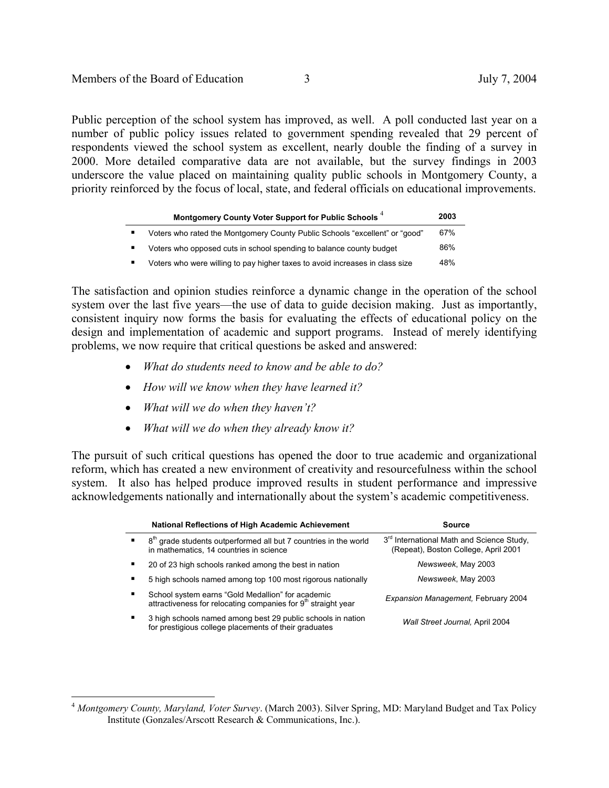Public perception of the school system has improved, as well. A poll conducted last year on a number of public policy issues related to government spending revealed that 29 percent of respondents viewed the school system as excellent, nearly double the finding of a survey in 2000. More detailed comparative data are not available, but the survey findings in 2003 underscore the value placed on maintaining quality public schools in Montgomery County, a priority reinforced by the focus of local, state, and federal officials on educational improvements.

|                | Montgomery County Voter Support for Public Schools <sup>4</sup>              | 2003 |
|----------------|------------------------------------------------------------------------------|------|
| $\blacksquare$ | Voters who rated the Montgomery County Public Schools "excellent" or "good"  | 67%  |
| $\blacksquare$ | Voters who opposed cuts in school spending to balance county budget          | 86%  |
|                | Voters who were willing to pay higher taxes to avoid increases in class size | 48%  |

The satisfaction and opinion studies reinforce a dynamic change in the operation of the school system over the last five years—the use of data to guide decision making. Just as importantly, consistent inquiry now forms the basis for evaluating the effects of educational policy on the design and implementation of academic and support programs. Instead of merely identifying problems, we now require that critical questions be asked and answered:

- *What do students need to know and be able to do?*
- *How will we know when they have learned it?*
- *What will we do when they haven't?*

 $\overline{a}$ 

• *What will we do when they already know it?*

The pursuit of such critical questions has opened the door to true academic and organizational reform, which has created a new environment of creativity and resourcefulness within the school system. It also has helped produce improved results in student performance and impressive acknowledgements nationally and internationally about the system's academic competitiveness.

|   | <b>National Reflections of High Academic Achievement</b>                                                                       | Source                                                                                        |
|---|--------------------------------------------------------------------------------------------------------------------------------|-----------------------------------------------------------------------------------------------|
| ٠ | 8 <sup>th</sup> grade students outperformed all but 7 countries in the world<br>in mathematics, 14 countries in science        | 3 <sup>rd</sup> International Math and Science Study,<br>(Repeat), Boston College, April 2001 |
|   | 20 of 23 high schools ranked among the best in nation                                                                          | Newsweek, May 2003                                                                            |
|   | 5 high schools named among top 100 most rigorous nationally                                                                    | Newsweek, May 2003                                                                            |
| п | School system earns "Gold Medallion" for academic<br>attractiveness for relocating companies for 9 <sup>th</sup> straight year | Expansion Management, February 2004                                                           |
|   | 3 high schools named among best 29 public schools in nation<br>for prestigious college placements of their graduates           | Wall Street Journal, April 2004                                                               |

<sup>4</sup> *Montgomery County, Maryland, Voter Survey*. (March 2003). Silver Spring, MD: Maryland Budget and Tax Policy Institute (Gonzales/Arscott Research & Communications, Inc.).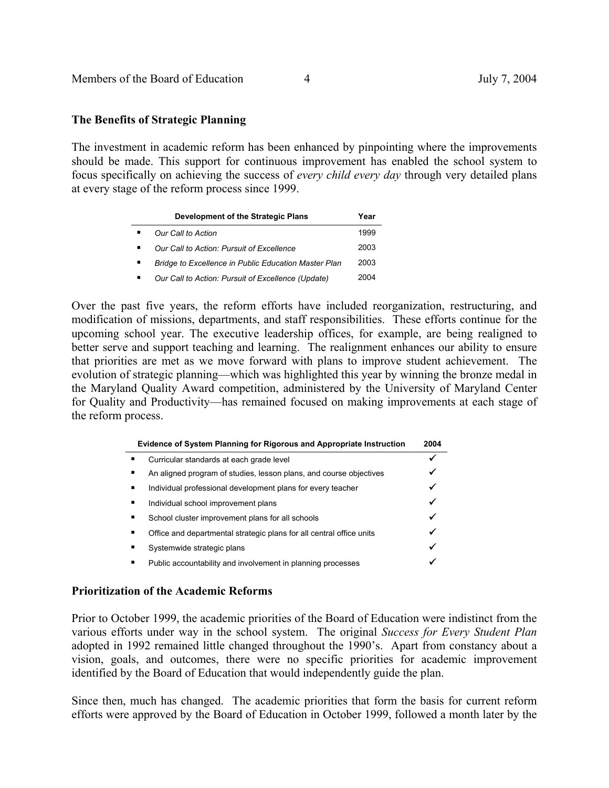## **The Benefits of Strategic Planning**

The investment in academic reform has been enhanced by pinpointing where the improvements should be made. This support for continuous improvement has enabled the school system to focus specifically on achieving the success of *every child every day* through very detailed plans at every stage of the reform process since 1999.

| Development of the Strategic Plans                   | Year |
|------------------------------------------------------|------|
| Our Call to Action                                   | 1999 |
| Our Call to Action: Pursuit of Excellence            | 2003 |
| Bridge to Excellence in Public Education Master Plan | 2003 |
| Our Call to Action: Pursuit of Excellence (Update)   | 2004 |

Over the past five years, the reform efforts have included reorganization, restructuring, and modification of missions, departments, and staff responsibilities. These efforts continue for the upcoming school year. The executive leadership offices, for example, are being realigned to better serve and support teaching and learning. The realignment enhances our ability to ensure that priorities are met as we move forward with plans to improve student achievement. The evolution of strategic planning—which was highlighted this year by winning the bronze medal in the Maryland Quality Award competition, administered by the University of Maryland Center for Quality and Productivity—has remained focused on making improvements at each stage of the reform process.

|   | Evidence of System Planning for Rigorous and Appropriate Instruction | 2004 |
|---|----------------------------------------------------------------------|------|
|   | Curricular standards at each grade level                             |      |
| ٠ | An aligned program of studies, lesson plans, and course objectives   |      |
| ٠ | Individual professional development plans for every teacher          |      |
| ٠ | Individual school improvement plans                                  |      |
| ٠ | School cluster improvement plans for all schools                     |      |
| ٠ | Office and departmental strategic plans for all central office units | ✓    |
| ٠ | Systemwide strategic plans                                           |      |
| ٠ | Public accountability and involvement in planning processes          |      |

## **Prioritization of the Academic Reforms**

Prior to October 1999, the academic priorities of the Board of Education were indistinct from the various efforts under way in the school system. The original *Success for Every Student Plan*  adopted in 1992 remained little changed throughout the 1990's. Apart from constancy about a vision, goals, and outcomes, there were no specific priorities for academic improvement identified by the Board of Education that would independently guide the plan.

Since then, much has changed. The academic priorities that form the basis for current reform efforts were approved by the Board of Education in October 1999, followed a month later by the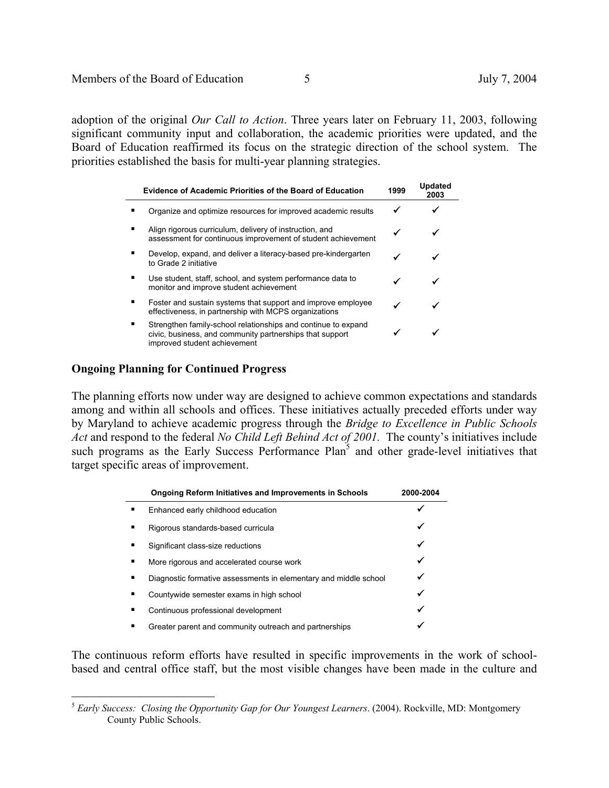adoption of the original *Our Call to Action*. Three years later on February 11, 2003, following significant community input and collaboration, the academic priorities were updated, and the Board of Education reaffirmed its focus on the strategic direction of the school system. The priorities established the basis for multi-year planning strategies.

| <b>Evidence of Academic Priorities of the Board of Education</b>                                                                                          | 1999 | <b>Updated</b><br>2003 |
|-----------------------------------------------------------------------------------------------------------------------------------------------------------|------|------------------------|
| Organize and optimize resources for improved academic results                                                                                             |      |                        |
| Align rigorous curriculum, delivery of instruction, and<br>assessment for continuous improvement of student achievement                                   | ✔    |                        |
| Develop, expand, and deliver a literacy-based pre-kindergarten<br>to Grade 2 initiative                                                                   |      |                        |
| Use student, staff, school, and system performance data to<br>monitor and improve student achievement                                                     |      |                        |
| Foster and sustain systems that support and improve employee<br>effectiveness, in partnership with MCPS organizations                                     |      |                        |
| Strengthen family-school relationships and continue to expand<br>civic, business, and community partnerships that support<br>improved student achievement |      |                        |

### **Ongoing Planning for Continued Progress**

 $\overline{a}$ 

The planning efforts now under way are designed to achieve common expectations and standards among and within all schools and offices. These initiatives actually preceded efforts under way by Maryland to achieve academic progress through the *Bridge to Excellence in Public Schools Act* and respond to the federal *No Child Left Behind Act of 2001.* The county's initiatives include such programs as the Early Success Performance Plan<sup>5</sup> and other grade-level initiatives that target specific areas of improvement.

|   | <b>Ongoing Reform Initiatives and Improvements in Schools</b>    | 2000-2004 |
|---|------------------------------------------------------------------|-----------|
|   | Enhanced early childhood education                               |           |
| ٠ | Rigorous standards-based curricula                               |           |
| ٠ | Significant class-size reductions                                | ✔         |
| ٠ | More rigorous and accelerated course work                        |           |
|   | Diagnostic formative assessments in elementary and middle school | ✔         |
| ٠ | Countywide semester exams in high school                         | ✔         |
| ٠ | Continuous professional development                              | ✔         |
| ٠ | Greater parent and community outreach and partnerships           |           |

The continuous reform efforts have resulted in specific improvements in the work of schoolbased and central office staff, but the most visible changes have been made in the culture and

<sup>5</sup> *Early Success: Closing the Opportunity Gap for Our Youngest Learners*. (2004). Rockville, MD: Montgomery County Public Schools.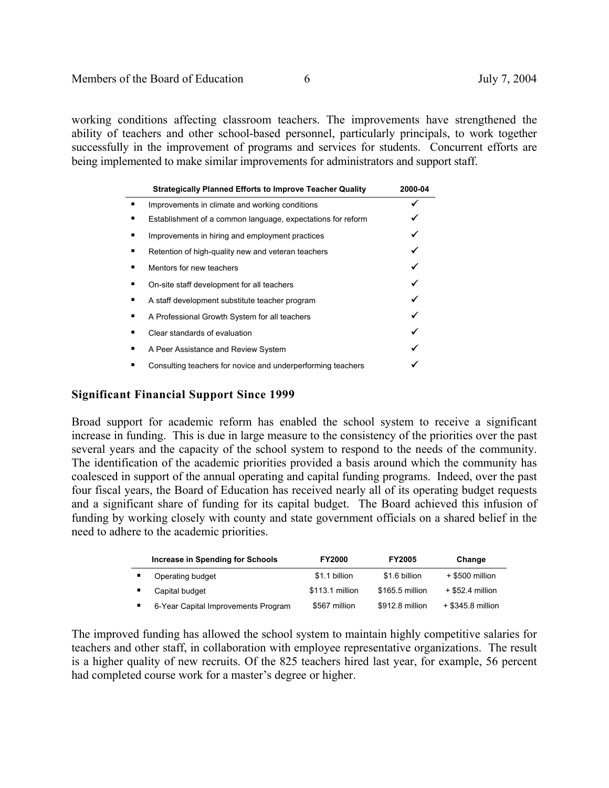working conditions affecting classroom teachers. The improvements have strengthened the ability of teachers and other school-based personnel, particularly principals, to work together successfully in the improvement of programs and services for students. Concurrent efforts are being implemented to make similar improvements for administrators and support staff.

|   | <b>Strategically Planned Efforts to Improve Teacher Quality</b> | 2000-04 |
|---|-----------------------------------------------------------------|---------|
| ٠ | Improvements in climate and working conditions                  |         |
| п | Establishment of a common language, expectations for reform     |         |
| ٠ | Improvements in hiring and employment practices                 |         |
| ٠ | Retention of high-quality new and veteran teachers              |         |
| ٠ | Mentors for new teachers                                        |         |
| п | On-site staff development for all teachers                      |         |
| ٠ | A staff development substitute teacher program                  |         |
| ٠ | A Professional Growth System for all teachers                   |         |
| п | Clear standards of evaluation                                   |         |
| ٠ | A Peer Assistance and Review System                             |         |
| п | Consulting teachers for novice and underperforming teachers     |         |

## **Significant Financial Support Since 1999**

Broad support for academic reform has enabled the school system to receive a significant increase in funding. This is due in large measure to the consistency of the priorities over the past several years and the capacity of the school system to respond to the needs of the community. The identification of the academic priorities provided a basis around which the community has coalesced in support of the annual operating and capital funding programs. Indeed, over the past four fiscal years, the Board of Education has received nearly all of its operating budget requests and a significant share of funding for its capital budget. The Board achieved this infusion of funding by working closely with county and state government officials on a shared belief in the need to adhere to the academic priorities.

| Increase in Spending for Schools    | <b>FY2000</b>   | <b>FY2005</b>   | Change             |
|-------------------------------------|-----------------|-----------------|--------------------|
| Operating budget                    | \$1.1 billion   | \$1.6 billion   | + \$500 million    |
| Capital budget                      | \$113.1 million | \$165.5 million | $+$ \$52.4 million |
| 6-Year Capital Improvements Program | \$567 million   | \$912.8 million | + \$345.8 million  |

The improved funding has allowed the school system to maintain highly competitive salaries for teachers and other staff, in collaboration with employee representative organizations. The result is a higher quality of new recruits. Of the 825 teachers hired last year, for example, 56 percent had completed course work for a master's degree or higher.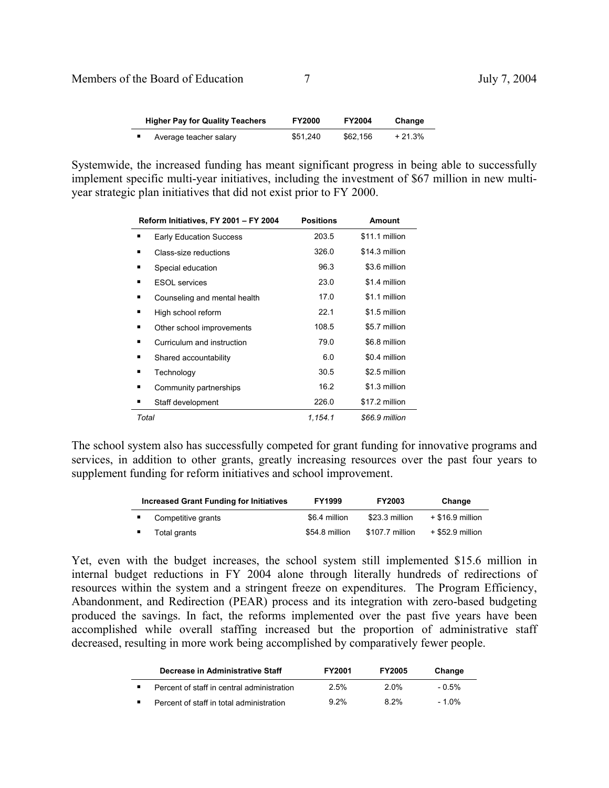# Members of the Board of Education 7 July 7, 2004

| <b>Higher Pay for Quality Teachers</b> |                        | <b>FY2000</b> | <b>FY2004</b> | Change   |
|----------------------------------------|------------------------|---------------|---------------|----------|
|                                        | Average teacher salary | \$51.240      | \$62.156      | $+21.3%$ |

Systemwide, the increased funding has meant significant progress in being able to successfully implement specific multi-year initiatives, including the investment of \$67 million in new multiyear strategic plan initiatives that did not exist prior to FY 2000.

| Reform Initiatives, FY 2001 - FY 2004 | <b>Positions</b> | <b>Amount</b>  |
|---------------------------------------|------------------|----------------|
| <b>Early Education Success</b>        | 203.5            | \$11.1 million |
| Class-size reductions<br>٠            | 326.0            | \$14.3 million |
| ٠<br>Special education                | 96.3             | \$3.6 million  |
| <b>ESOL</b> services                  | 23.0             | \$1.4 million  |
| Counseling and mental health<br>٠     | 17.0             | \$1.1 million  |
| High school reform<br>٠               | 22.1             | \$1.5 million  |
| Other school improvements<br>٠        | 108.5            | \$5.7 million  |
| Curriculum and instruction<br>٠       | 79.0             | \$6.8 million  |
| Shared accountability<br>٠            | 6.0              | \$0.4 million  |
| Technology<br>٠                       | 30.5             | \$2.5 million  |
| Community partnerships<br>٠           | 16.2             | \$1.3 million  |
| Staff development<br>٠                | 226.0            | \$17.2 million |
| Total                                 | 1,154.1          | \$66.9 million |

The school system also has successfully competed for grant funding for innovative programs and services, in addition to other grants, greatly increasing resources over the past four years to supplement funding for reform initiatives and school improvement.

| <b>Increased Grant Funding for Initiatives</b> | <b>FY1999</b>  | <b>FY2003</b>   | Change             |
|------------------------------------------------|----------------|-----------------|--------------------|
| Competitive grants                             | \$6.4 million  | \$23.3 million  | $+$ \$16.9 million |
| Total grants                                   | \$54.8 million | \$107.7 million | + \$52.9 million   |

Yet, even with the budget increases, the school system still implemented \$15.6 million in internal budget reductions in FY 2004 alone through literally hundreds of redirections of resources within the system and a stringent freeze on expenditures. The Program Efficiency, Abandonment, and Redirection (PEAR) process and its integration with zero-based budgeting produced the savings. In fact, the reforms implemented over the past five years have been accomplished while overall staffing increased but the proportion of administrative staff decreased, resulting in more work being accomplished by comparatively fewer people.

| Decrease in Administrative Staff           | <b>FY2001</b> | <b>FY2005</b> | Change   |
|--------------------------------------------|---------------|---------------|----------|
| Percent of staff in central administration | 2.5%          | <b>2 0%</b>   | - 0.5%   |
| Percent of staff in total administration   | $9.2\%$       | 8.2%          | $-1.0\%$ |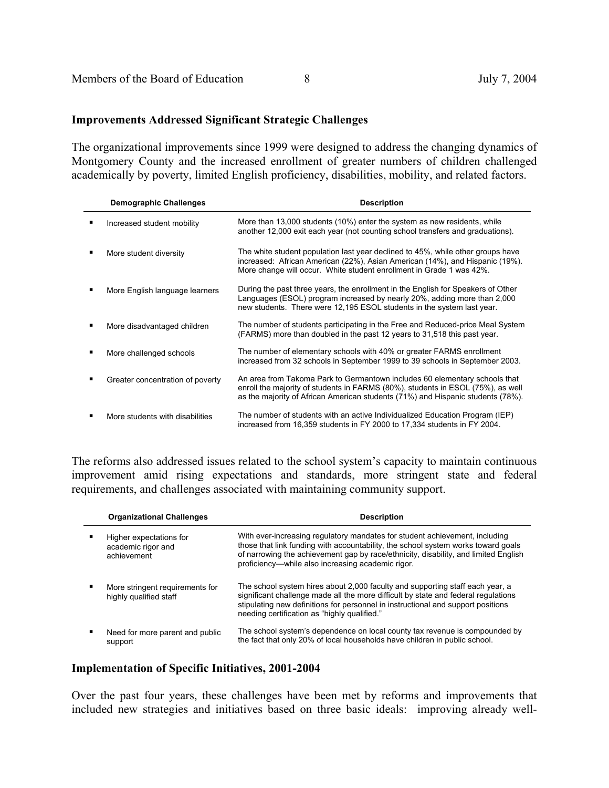### **Improvements Addressed Significant Strategic Challenges**

The organizational improvements since 1999 were designed to address the changing dynamics of Montgomery County and the increased enrollment of greater numbers of children challenged academically by poverty, limited English proficiency, disabilities, mobility, and related factors.

| <b>Demographic Challenges</b>    | <b>Description</b>                                                                                                                                                                                                                               |
|----------------------------------|--------------------------------------------------------------------------------------------------------------------------------------------------------------------------------------------------------------------------------------------------|
| Increased student mobility       | More than 13,000 students (10%) enter the system as new residents, while<br>another 12,000 exit each year (not counting school transfers and graduations).                                                                                       |
| More student diversity           | The white student population last year declined to 45%, while other groups have<br>increased: African American (22%), Asian American (14%), and Hispanic (19%).<br>More change will occur. White student enrollment in Grade 1 was 42%.          |
| More English language learners   | During the past three years, the enrollment in the English for Speakers of Other<br>Languages (ESOL) program increased by nearly 20%, adding more than 2,000<br>new students. There were 12,195 ESOL students in the system last year.           |
| More disadvantaged children      | The number of students participating in the Free and Reduced-price Meal System<br>(FARMS) more than doubled in the past 12 years to 31,518 this past year.                                                                                       |
| More challenged schools          | The number of elementary schools with 40% or greater FARMS enrollment<br>increased from 32 schools in September 1999 to 39 schools in September 2003.                                                                                            |
| Greater concentration of poverty | An area from Takoma Park to Germantown includes 60 elementary schools that<br>enroll the majority of students in FARMS (80%), students in ESOL (75%), as well<br>as the majority of African American students (71%) and Hispanic students (78%). |
| More students with disabilities  | The number of students with an active Individualized Education Program (IEP)<br>increased from 16,359 students in FY 2000 to 17,334 students in FY 2004.                                                                                         |

The reforms also addressed issues related to the school system's capacity to maintain continuous improvement amid rising expectations and standards, more stringent state and federal requirements, and challenges associated with maintaining community support.

| <b>Organizational Challenges</b>                             | <b>Description</b>                                                                                                                                                                                                                                                                                           |
|--------------------------------------------------------------|--------------------------------------------------------------------------------------------------------------------------------------------------------------------------------------------------------------------------------------------------------------------------------------------------------------|
| Higher expectations for<br>academic rigor and<br>achievement | With ever-increasing regulatory mandates for student achievement, including<br>those that link funding with accountability, the school system works toward goals<br>of narrowing the achievement gap by race/ethnicity, disability, and limited English<br>proficiency—while also increasing academic rigor. |
| More stringent requirements for<br>highly qualified staff    | The school system hires about 2,000 faculty and supporting staff each year, a<br>significant challenge made all the more difficult by state and federal regulations<br>stipulating new definitions for personnel in instructional and support positions<br>needing certification as "highly qualified."      |
| Need for more parent and public<br>support                   | The school system's dependence on local county tax revenue is compounded by<br>the fact that only 20% of local households have children in public school.                                                                                                                                                    |

## **Implementation of Specific Initiatives, 2001-2004**

Over the past four years, these challenges have been met by reforms and improvements that included new strategies and initiatives based on three basic ideals: improving already well-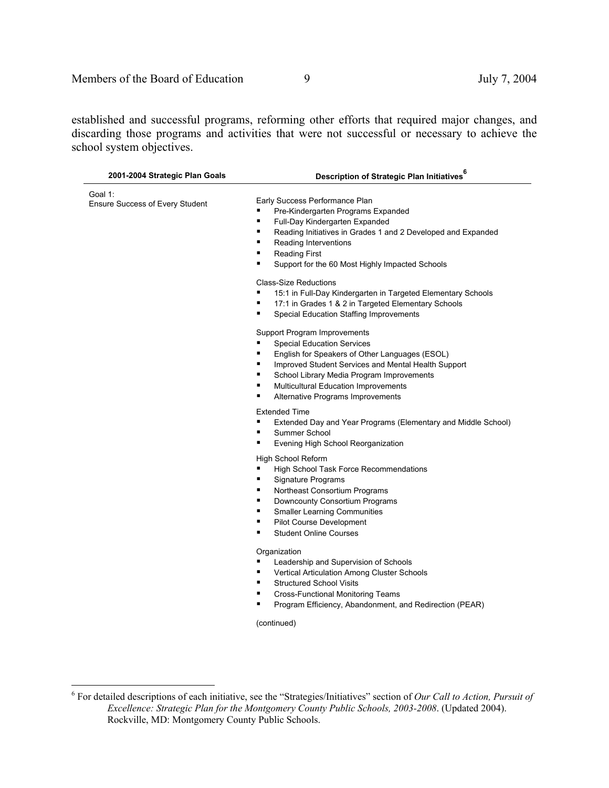established and successful programs, reforming other efforts that required major changes, and discarding those programs and activities that were not successful or necessary to achieve the school system objectives.

| 2001-2004 Strategic Plan Goals             | Description of Strategic Plan Initiatives <sup>6</sup>                                                                                                                                                                                                                                                                                    |
|--------------------------------------------|-------------------------------------------------------------------------------------------------------------------------------------------------------------------------------------------------------------------------------------------------------------------------------------------------------------------------------------------|
| Goal 1:<br>Ensure Success of Every Student | Early Success Performance Plan<br>٠<br>Pre-Kindergarten Programs Expanded<br>٠<br>Full-Day Kindergarten Expanded<br>٠<br>Reading Initiatives in Grades 1 and 2 Developed and Expanded<br>٠<br>Reading Interventions<br>٠<br><b>Reading First</b><br>٠<br>Support for the 60 Most Highly Impacted Schools                                  |
|                                            | <b>Class-Size Reductions</b><br>٠<br>15:1 in Full-Day Kindergarten in Targeted Elementary Schools<br>17:1 in Grades 1 & 2 in Targeted Elementary Schools<br>٠<br>٠<br>Special Education Staffing Improvements                                                                                                                             |
|                                            | Support Program Improvements<br><b>Special Education Services</b><br>٠<br>٠<br>English for Speakers of Other Languages (ESOL)<br>٠<br>Improved Student Services and Mental Health Support<br>٠<br>School Library Media Program Improvements<br>٠<br><b>Multicultural Education Improvements</b><br>٠<br>Alternative Programs Improvements |
|                                            | <b>Extended Time</b><br>٠<br>Extended Day and Year Programs (Elementary and Middle School)<br>٠<br>Summer School<br>٠<br>Evening High School Reorganization                                                                                                                                                                               |
|                                            | High School Reform<br>٠<br>High School Task Force Recommendations<br>٠<br>Signature Programs<br>٠<br>Northeast Consortium Programs<br>٠<br>Downcounty Consortium Programs<br>٠<br><b>Smaller Learning Communities</b><br>٠<br>Pilot Course Development<br><b>Student Online Courses</b><br>٠                                              |
|                                            | Organization<br>٠<br>Leadership and Supervision of Schools<br>٠<br>Vertical Articulation Among Cluster Schools<br>٠<br><b>Structured School Visits</b><br>٠<br>Cross-Functional Monitoring Teams<br>Program Efficiency, Abandonment, and Redirection (PEAR)<br>٠<br>(continued)                                                           |

 6 For detailed descriptions of each initiative, see the "Strategies/Initiatives" section of *Our Call to Action, Pursuit of Excellence: Strategic Plan for the Montgomery County Public Schools, 2003-2008*. (Updated 2004). Rockville, MD: Montgomery County Public Schools.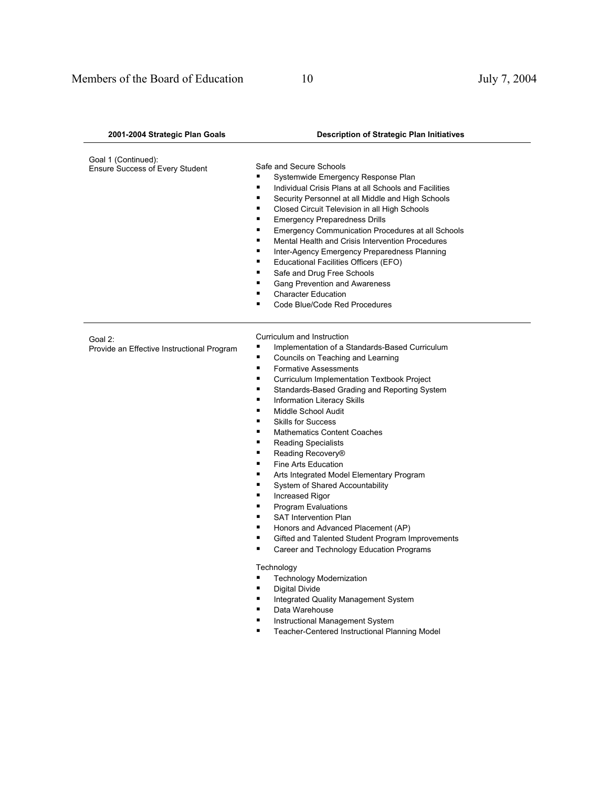| 2001-2004 Strategic Plan Goals                         | <b>Description of Strategic Plan Initiatives</b>                                                                                                                                                                                                                                                                                                                                                                                                                                                                                                                                                                                                                                                                                                                                                                                                                                                                                                                                                                                                                                                  |
|--------------------------------------------------------|---------------------------------------------------------------------------------------------------------------------------------------------------------------------------------------------------------------------------------------------------------------------------------------------------------------------------------------------------------------------------------------------------------------------------------------------------------------------------------------------------------------------------------------------------------------------------------------------------------------------------------------------------------------------------------------------------------------------------------------------------------------------------------------------------------------------------------------------------------------------------------------------------------------------------------------------------------------------------------------------------------------------------------------------------------------------------------------------------|
| Goal 1 (Continued):<br>Ensure Success of Every Student | Safe and Secure Schools<br>٠<br>Systemwide Emergency Response Plan<br>٠<br>Individual Crisis Plans at all Schools and Facilities<br>٠<br>Security Personnel at all Middle and High Schools<br>٠<br>Closed Circuit Television in all High Schools<br>٠<br><b>Emergency Preparedness Drills</b><br>٠<br>Emergency Communication Procedures at all Schools<br>٠<br>Mental Health and Crisis Intervention Procedures<br>٠<br>Inter-Agency Emergency Preparedness Planning<br>Educational Facilities Officers (EFO)<br>٠<br>٠<br>Safe and Drug Free Schools<br>٠<br>Gang Prevention and Awareness<br><b>Character Education</b><br>п<br>Code Blue/Code Red Procedures<br>п                                                                                                                                                                                                                                                                                                                                                                                                                             |
| Goal 2:<br>Provide an Effective Instructional Program  | Curriculum and Instruction<br>Implementation of a Standards-Based Curriculum<br>п<br>Councils on Teaching and Learning<br>٠<br><b>Formative Assessments</b><br>٠<br>Curriculum Implementation Textbook Project<br>٠<br>Standards-Based Grading and Reporting System<br>п<br>Information Literacy Skills<br>Middle School Audit<br>٠<br>٠<br><b>Skills for Success</b><br>٠<br><b>Mathematics Content Coaches</b><br>٠<br><b>Reading Specialists</b><br>Reading Recovery®<br>٠<br>٠<br>Fine Arts Education<br>٠<br>Arts Integrated Model Elementary Program<br>٠<br>System of Shared Accountability<br>٠<br>Increased Rigor<br>п<br>Program Evaluations<br>٠<br><b>SAT Intervention Plan</b><br>٠<br>Honors and Advanced Placement (AP)<br>Gifted and Talented Student Program Improvements<br>п<br>Career and Technology Education Programs<br>■<br>Technology<br><b>Technology Modernization</b><br><b>Digital Divide</b><br>٠<br>Integrated Quality Management System<br>٠<br>Data Warehouse<br>٠<br>Instructional Management System<br>п<br>Teacher-Centered Instructional Planning Model<br>٠ |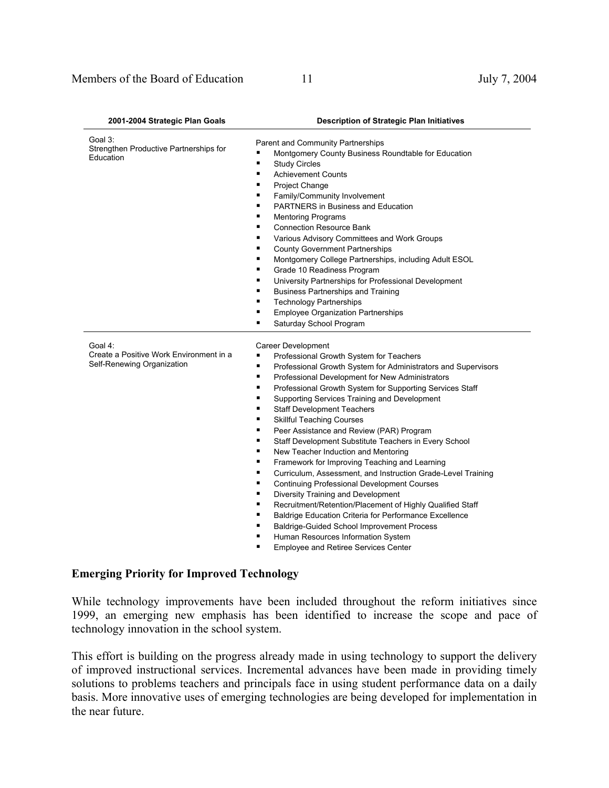| 2001-2004 Strategic Plan Goals                                                   | <b>Description of Strategic Plan Initiatives</b>                                                                                                                                                                                                                                                                                                                                                                                                                                                                                                                                                                                                                                                                                                                                                                                                                                                                                                                                                                                                                                                                   |
|----------------------------------------------------------------------------------|--------------------------------------------------------------------------------------------------------------------------------------------------------------------------------------------------------------------------------------------------------------------------------------------------------------------------------------------------------------------------------------------------------------------------------------------------------------------------------------------------------------------------------------------------------------------------------------------------------------------------------------------------------------------------------------------------------------------------------------------------------------------------------------------------------------------------------------------------------------------------------------------------------------------------------------------------------------------------------------------------------------------------------------------------------------------------------------------------------------------|
| Goal 3:<br>Strengthen Productive Partnerships for<br>Education                   | Parent and Community Partnerships<br>Montgomery County Business Roundtable for Education<br>п<br>٠<br><b>Study Circles</b><br><b>Achievement Counts</b><br>٠<br>٠<br>Project Change<br>Family/Community Involvement<br>٠<br>٠<br><b>PARTNERS</b> in Business and Education<br>٠<br><b>Mentoring Programs</b><br>٠<br><b>Connection Resource Bank</b><br>Various Advisory Committees and Work Groups<br>٠<br><b>County Government Partnerships</b><br>٠<br>٠<br>Montgomery College Partnerships, including Adult ESOL<br>Grade 10 Readiness Program<br>٠<br>University Partnerships for Professional Development<br>٠<br><b>Business Partnerships and Training</b><br>٠<br><b>Technology Partnerships</b><br>٠<br><b>Employee Organization Partnerships</b><br>٠<br>Saturday School Program<br>٠                                                                                                                                                                                                                                                                                                                    |
| Goal 4:<br>Create a Positive Work Environment in a<br>Self-Renewing Organization | Career Development<br>٠<br>Professional Growth System for Teachers<br>$\blacksquare$<br>Professional Growth System for Administrators and Supervisors<br>Professional Development for New Administrators<br>٠<br>Professional Growth System for Supporting Services Staff<br>٠<br>Supporting Services Training and Development<br>٠<br><b>Staff Development Teachers</b><br>٠<br>٠<br><b>Skillful Teaching Courses</b><br>$\blacksquare$<br>Peer Assistance and Review (PAR) Program<br>Staff Development Substitute Teachers in Every School<br>٠<br>٠<br>New Teacher Induction and Mentoring<br>Framework for Improving Teaching and Learning<br>٠<br>٠<br>Curriculum, Assessment, and Instruction Grade-Level Training<br>٠<br><b>Continuing Professional Development Courses</b><br>٠<br>Diversity Training and Development<br>Recruitment/Retention/Placement of Highly Qualified Staff<br>٠<br>Baldrige Education Criteria for Performance Excellence<br>٠<br>٠<br>Baldrige-Guided School Improvement Process<br>Human Resources Information System<br>٠<br>٠<br><b>Employee and Retiree Services Center</b> |

#### **Emerging Priority for Improved Technology**

While technology improvements have been included throughout the reform initiatives since 1999, an emerging new emphasis has been identified to increase the scope and pace of technology innovation in the school system.

This effort is building on the progress already made in using technology to support the delivery of improved instructional services. Incremental advances have been made in providing timely solutions to problems teachers and principals face in using student performance data on a daily basis. More innovative uses of emerging technologies are being developed for implementation in the near future.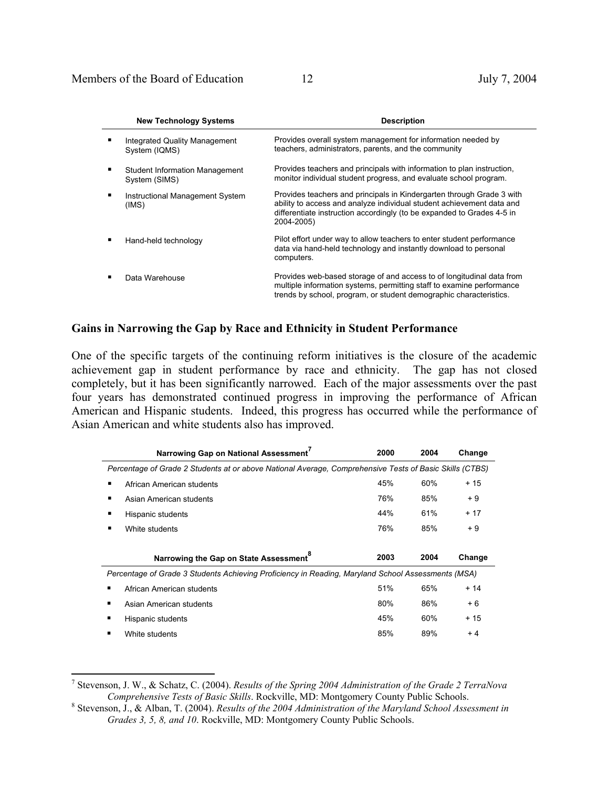$\overline{a}$ 

| <b>New Technology Systems</b>                   | <b>Description</b>                                                                                                                                                                                                                     |
|-------------------------------------------------|----------------------------------------------------------------------------------------------------------------------------------------------------------------------------------------------------------------------------------------|
| Integrated Quality Management<br>System (IQMS)  | Provides overall system management for information needed by<br>teachers, administrators, parents, and the community                                                                                                                   |
| Student Information Management<br>System (SIMS) | Provides teachers and principals with information to plan instruction,<br>monitor individual student progress, and evaluate school program.                                                                                            |
| Instructional Management System<br>(IMS)        | Provides teachers and principals in Kindergarten through Grade 3 with<br>ability to access and analyze individual student achievement data and<br>differentiate instruction accordingly (to be expanded to Grades 4-5 in<br>2004-2005) |
| Hand-held technology                            | Pilot effort under way to allow teachers to enter student performance<br>data via hand-held technology and instantly download to personal<br>computers.                                                                                |
| Data Warehouse                                  | Provides web-based storage of and access to of longitudinal data from<br>multiple information systems, permitting staff to examine performance<br>trends by school, program, or student demographic characteristics.                   |

## **Gains in Narrowing the Gap by Race and Ethnicity in Student Performance**

One of the specific targets of the continuing reform initiatives is the closure of the academic achievement gap in student performance by race and ethnicity. The gap has not closed completely, but it has been significantly narrowed. Each of the major assessments over the past four years has demonstrated continued progress in improving the performance of African American and Hispanic students. Indeed, this progress has occurred while the performance of Asian American and white students also has improved.

| Narrowing Gap on National Assessment                                                                    | 2000 | 2004 | Change |
|---------------------------------------------------------------------------------------------------------|------|------|--------|
| Percentage of Grade 2 Students at or above National Average, Comprehensive Tests of Basic Skills (CTBS) |      |      |        |
| African American students                                                                               | 45%  | 60%  | + 15   |
| Asian American students                                                                                 | 76%  | 85%  | $+9$   |
| Hispanic students                                                                                       | 44%  | 61%  | + 17   |
| White students                                                                                          | 76%  | 85%  | $+9$   |
| Narrowing the Gap on State Assessment <sup>8</sup>                                                      | 2003 | 2004 | Change |
|                                                                                                         |      |      |        |
| Percentage of Grade 3 Students Achieving Proficiency in Reading, Maryland School Assessments (MSA)      |      |      |        |
| African American students                                                                               | 51%  | 65%  | $+14$  |
| Asian American students                                                                                 | 80%  | 86%  | $+6$   |
| Hispanic students                                                                                       | 45%  | 60%  | + 15   |

<sup>7</sup> Stevenson, J. W., & Schatz, C. (2004). *Results of the Spring 2004 Administration of the Grade 2 TerraNova Comprehensive Tests of Basic Skills*. Rockville, MD: Montgomery County Public Schools. 8

Stevenson, J., & Alban, T. (2004). *Results of the 2004 Administration of the Maryland School Assessment in Grades 3, 5, 8, and 10*. Rockville, MD: Montgomery County Public Schools.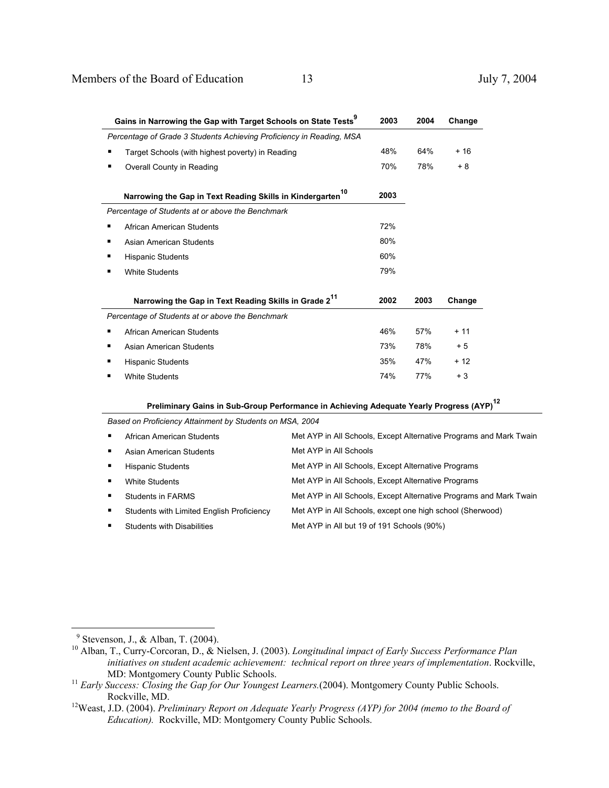|                                                                      | Gains in Narrowing the Gap with Target Schools on State Tests <sup>9</sup><br>2003 |      |      | Change |
|----------------------------------------------------------------------|------------------------------------------------------------------------------------|------|------|--------|
| Percentage of Grade 3 Students Achieving Proficiency in Reading, MSA |                                                                                    |      |      |        |
| ٠                                                                    | Target Schools (with highest poverty) in Reading                                   |      | 64%  | $+16$  |
| ٠                                                                    | Overall County in Reading                                                          | 70%  | 78%  | + 8    |
|                                                                      | 10<br>Narrowing the Gap in Text Reading Skills in Kindergarten                     | 2003 |      |        |
|                                                                      | Percentage of Students at or above the Benchmark                                   |      |      |        |
| ٠                                                                    | African American Students                                                          | 72%  |      |        |
| ٠                                                                    | Asian American Students                                                            | 80%  |      |        |
| ٠                                                                    | <b>Hispanic Students</b>                                                           | 60%  |      |        |
|                                                                      | <b>White Students</b>                                                              | 79%  |      |        |
|                                                                      | Narrowing the Gap in Text Reading Skills in Grade 2 <sup>11</sup>                  | 2002 | 2003 | Change |
|                                                                      | Percentage of Students at or above the Benchmark                                   |      |      |        |
| ٠                                                                    | African American Students                                                          | 46%  | 57%  | $+11$  |
| ٠                                                                    | Asian American Students                                                            | 73%  | 78%  | $+5$   |
| ٠                                                                    | <b>Hispanic Students</b>                                                           | 35%  | 47%  | $+12$  |
| ■                                                                    | <b>White Students</b>                                                              | 74%  | 77%  | $+3$   |

 **Preliminary Gains in Sub-Group Performance in Achieving Adequate Yearly Progress (AYP)<sup>12</sup>**

*Based on Proficiency Attainment by Students on MSA, 2004* 

| $\blacksquare$ | African American Students                 | Met AYP in All Schools, Except Alternative Programs and Mark Twain |
|----------------|-------------------------------------------|--------------------------------------------------------------------|
| п              | Asian American Students                   | Met AYP in All Schools                                             |
| п              | <b>Hispanic Students</b>                  | Met AYP in All Schools, Except Alternative Programs                |
|                | White Students                            | Met AYP in All Schools, Except Alternative Programs                |
| $\blacksquare$ | Students in FARMS                         | Met AYP in All Schools, Except Alternative Programs and Mark Twain |
| п.             | Students with Limited English Proficiency | Met AYP in All Schools, except one high school (Sherwood)          |
| ٠              | <b>Students with Disabilities</b>         | Met AYP in All but 19 of 191 Schools (90%)                         |
|                |                                           |                                                                    |

 $\overline{a}$ 

<sup>&</sup>lt;sup>9</sup> Stevenson, J., & Alban, T. (2004).<br><sup>10</sup> Alban, T., Curry-Corcoran, D., & Nielsen, J. (2003). *Longitudinal impact of Early Success Performance Plan initiatives on student academic achievement: technical report on three years of implementation*. Rockville,

MD: Montgomery County Public Schools.<br><sup>11</sup> *Early Success: Closing the Gap for Our Youngest Learners.*(2004). Montgomery County Public Schools.<br>Rockville, MD.

<sup>&</sup>lt;sup>12</sup>Weast, J.D. (2004). *Preliminary Report on Adequate Yearly Progress (AYP) for 2004 (memo to the Board of Education).* Rockville, MD: Montgomery County Public Schools.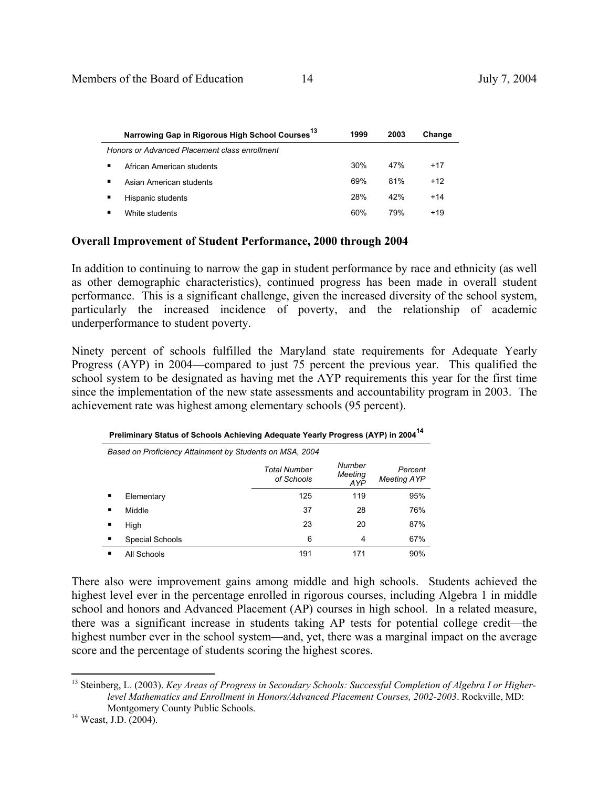| Narrowing Gap in Rigorous High School Courses | 1999 | 2003 | Change |  |
|-----------------------------------------------|------|------|--------|--|
| Honors or Advanced Placement class enrollment |      |      |        |  |
| ٠<br>African American students                | 30%  | 47%  | +17    |  |
| ٠<br>Asian American students                  | 69%  | 81%  | $+12$  |  |
| Hispanic students<br>٠                        | 28%  | 42%  | $+14$  |  |
| п<br>White students                           | 60%  | 79%  | $+19$  |  |

### **Overall Improvement of Student Performance, 2000 through 2004**

In addition to continuing to narrow the gap in student performance by race and ethnicity (as well as other demographic characteristics), continued progress has been made in overall student performance. This is a significant challenge, given the increased diversity of the school system, particularly the increased incidence of poverty, and the relationship of academic underperformance to student poverty.

Ninety percent of schools fulfilled the Maryland state requirements for Adequate Yearly Progress (AYP) in 2004—compared to just 75 percent the previous year. This qualified the school system to be designated as having met the AYP requirements this year for the first time since the implementation of the new state assessments and accountability program in 2003. The achievement rate was highest among elementary schools (95 percent).

| Based on Proficiency Attainment by Students on MSA, 2004 |                 |                            |                          |                               |  |
|----------------------------------------------------------|-----------------|----------------------------|--------------------------|-------------------------------|--|
|                                                          |                 | Total Number<br>of Schools | Number<br>Meeting<br>AYP | Percent<br><b>Meeting AYP</b> |  |
| ٠                                                        | Elementary      | 125                        | 119                      | 95%                           |  |
| п                                                        | Middle          | 37                         | 28                       | 76%                           |  |
| п                                                        | High            | 23                         | 20                       | 87%                           |  |
| п                                                        | Special Schools | 6                          | 4                        | 67%                           |  |
| п                                                        | All Schools     | 191                        | 171                      | 90%                           |  |

**Preliminary Status of Schools Achieving Adequate Yearly Progress (AYP) in 2004<sup>14</sup>**

There also were improvement gains among middle and high schools. Students achieved the highest level ever in the percentage enrolled in rigorous courses, including Algebra 1 in middle school and honors and Advanced Placement (AP) courses in high school. In a related measure, there was a significant increase in students taking AP tests for potential college credit—the highest number ever in the school system—and, yet, there was a marginal impact on the average score and the percentage of students scoring the highest scores.

 $\overline{a}$ 

<sup>&</sup>lt;sup>13</sup> Steinberg, L. (2003). *Key Areas of Progress in Secondary Schools: Successful Completion of Algebra I or Higherlevel Mathematics and Enrollment in Honors/Advanced Placement Courses, 2002-2003*. Rockville, MD: Montgomery County Public Schools.<br><sup>14</sup> Weast, J.D. (2004).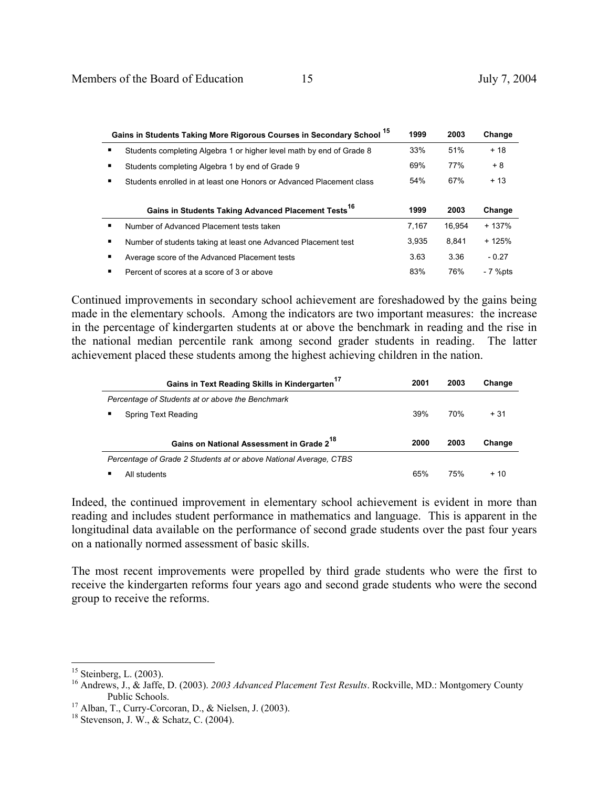|   | 15<br>Gains in Students Taking More Rigorous Courses in Secondary School | 1999  | 2003   | Change  |
|---|--------------------------------------------------------------------------|-------|--------|---------|
| ٠ | Students completing Algebra 1 or higher level math by end of Grade 8     | 33%   | 51%    | $+18$   |
| ٠ | Students completing Algebra 1 by end of Grade 9                          | 69%   | 77%    | $+8$    |
| ٠ | Students enrolled in at least one Honors or Advanced Placement class     | 54%   | 67%    | $+13$   |
|   |                                                                          |       |        |         |
|   |                                                                          |       |        |         |
|   | Gains in Students Taking Advanced Placement Tests <sup>16</sup>          | 1999  | 2003   | Change  |
| ٠ | Number of Advanced Placement tests taken                                 | 7.167 | 16.954 | $+137%$ |
| ٠ | Number of students taking at least one Advanced Placement test           | 3.935 | 8.841  | $+125%$ |
| ٠ | Average score of the Advanced Placement tests                            | 3.63  | 3.36   | $-0.27$ |

Continued improvements in secondary school achievement are foreshadowed by the gains being made in the elementary schools. Among the indicators are two important measures: the increase in the percentage of kindergarten students at or above the benchmark in reading and the rise in the national median percentile rank among second grader students in reading. The latter achievement placed these students among the highest achieving children in the nation.

| Gains in Text Reading Skills in Kindergarten <sup>17</sup>        | 2001 | 2003 | Change |
|-------------------------------------------------------------------|------|------|--------|
| Percentage of Students at or above the Benchmark                  |      |      |        |
| Spring Text Reading                                               | 39%  | 70%  | $+31$  |
| Gains on National Assessment in Grade 2 <sup>18</sup>             | 2000 | 2003 | Change |
| Percentage of Grade 2 Students at or above National Average, CTBS |      |      |        |
| All students                                                      | 65%  | 75%  | $+10$  |

Indeed, the continued improvement in elementary school achievement is evident in more than reading and includes student performance in mathematics and language. This is apparent in the longitudinal data available on the performance of second grade students over the past four years on a nationally normed assessment of basic skills.

The most recent improvements were propelled by third grade students who were the first to receive the kindergarten reforms four years ago and second grade students who were the second group to receive the reforms.

 $\overline{a}$ 

 $15$  Steinberg, L. (2003).

<sup>16</sup> Andrews, J., & Jaffe, D. (2003). *2003 Advanced Placement Test Results*. Rockville, MD.: Montgomery County Public Schools.<br><sup>17</sup> Alban, T., Curry-Corcoran, D., & Nielsen, J. (2003).

 $18$  Stevenson, J. W., & Schatz, C. (2004).